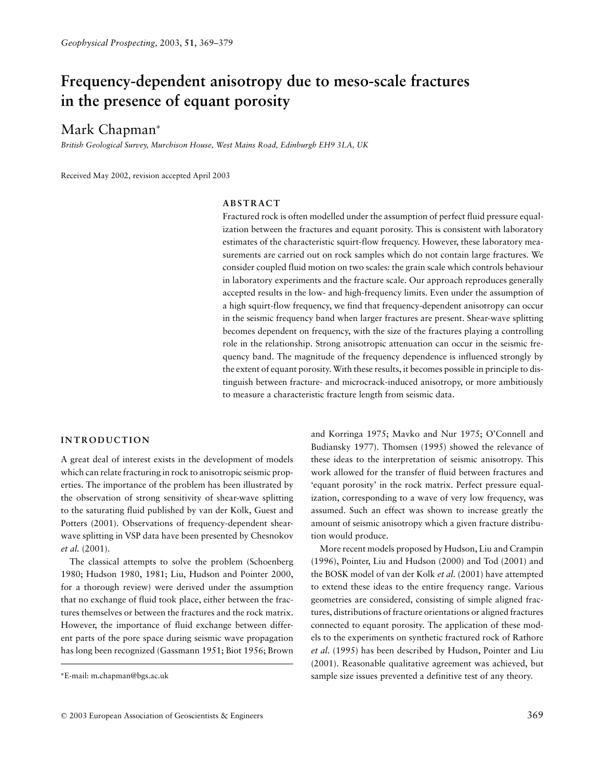# **Frequency-dependent anisotropy due to meso-scale fractures in the presence of equant porosity**

# Mark Chapman<sup>∗</sup>

*British Geological Survey, Murchison House, West Mains Road, Edinburgh EH9 3LA, UK*

Received May 2002, revision accepted April 2003

# **ABSTRACT**

Fractured rock is often modelled under the assumption of perfect fluid pressure equalization between the fractures and equant porosity. This is consistent with laboratory estimates of the characteristic squirt-flow frequency. However, these laboratory measurements are carried out on rock samples which do not contain large fractures. We consider coupled fluid motion on two scales: the grain scale which controls behaviour in laboratory experiments and the fracture scale. Our approach reproduces generally accepted results in the low- and high-frequency limits. Even under the assumption of a high squirt-flow frequency, we find that frequency-dependent anisotropy can occur in the seismic frequency band when larger fractures are present. Shear-wave splitting becomes dependent on frequency, with the size of the fractures playing a controlling role in the relationship. Strong anisotropic attenuation can occur in the seismic frequency band. The magnitude of the frequency dependence is influenced strongly by the extent of equant porosity. With these results, it becomes possible in principle to distinguish between fracture- and microcrack-induced anisotropy, or more ambitiously to measure a characteristic fracture length from seismic data.

## **INTRODUCTION**

A great deal of interest exists in the development of models which can relate fracturing in rock to anisotropic seismic properties. The importance of the problem has been illustrated by the observation of strong sensitivity of shear-wave splitting to the saturating fluid published by van der Kolk, Guest and Potters (2001). Observations of frequency-dependent shearwave splitting in VSP data have been presented by Chesnokov *et al.* (2001).

The classical attempts to solve the problem (Schoenberg 1980; Hudson 1980, 1981; Liu, Hudson and Pointer 2000, for a thorough review) were derived under the assumption that no exchange of fluid took place, either between the fractures themselves or between the fractures and the rock matrix. However, the importance of fluid exchange between different parts of the pore space during seismic wave propagation has long been recognized (Gassmann 1951; Biot 1956; Brown and Korringa 1975; Mavko and Nur 1975; O'Connell and Budiansky 1977). Thomsen (1995) showed the relevance of these ideas to the interpretation of seismic anisotropy. This work allowed for the transfer of fluid between fractures and 'equant porosity' in the rock matrix. Perfect pressure equalization, corresponding to a wave of very low frequency, was assumed. Such an effect was shown to increase greatly the amount of seismic anisotropy which a given fracture distribution would produce.

More recent models proposed by Hudson, Liu and Crampin (1996), Pointer, Liu and Hudson (2000) and Tod (2001) and the BOSK model of van der Kolk *et al.* (2001) have attempted to extend these ideas to the entire frequency range. Various geometries are considered, consisting of simple aligned fractures, distributions of fracture orientations or aligned fractures connected to equant porosity. The application of these models to the experiments on synthetic fractured rock of Rathore *et al.* (1995) has been described by Hudson, Pointer and Liu (2001). Reasonable qualitative agreement was achieved, but sample size issues prevented a definitive test of any theory.

<sup>∗</sup>E-mail: m.chapman@bgs.ac.uk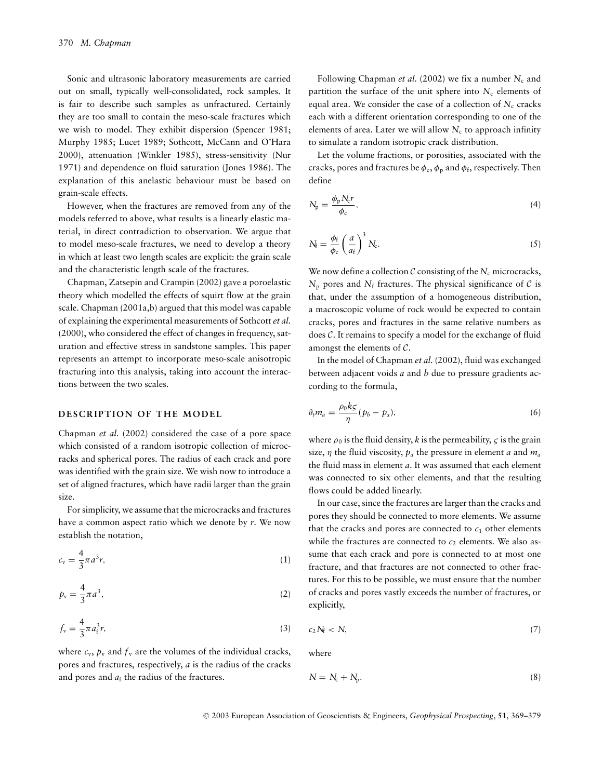Sonic and ultrasonic laboratory measurements are carried out on small, typically well-consolidated, rock samples. It is fair to describe such samples as unfractured. Certainly they are too small to contain the meso-scale fractures which we wish to model. They exhibit dispersion (Spencer 1981; Murphy 1985; Lucet 1989; Sothcott, McCann and O'Hara 2000), attenuation (Winkler 1985), stress-sensitivity (Nur 1971) and dependence on fluid saturation (Jones 1986). The explanation of this anelastic behaviour must be based on grain-scale effects.

However, when the fractures are removed from any of the models referred to above, what results is a linearly elastic material, in direct contradiction to observation. We argue that to model meso-scale fractures, we need to develop a theory in which at least two length scales are explicit: the grain scale and the characteristic length scale of the fractures.

Chapman, Zatsepin and Crampin (2002) gave a poroelastic theory which modelled the effects of squirt flow at the grain scale. Chapman (2001a,b) argued that this model was capable of explaining the experimental measurements of Sothcott *et al.* (2000), who considered the effect of changes in frequency, saturation and effective stress in sandstone samples. This paper represents an attempt to incorporate meso-scale anisotropic fracturing into this analysis, taking into account the interactions between the two scales.

### **DESCRIPTION OF THE MODEL**

Chapman *et al.* (2002) considered the case of a pore space which consisted of a random isotropic collection of microcracks and spherical pores. The radius of each crack and pore was identified with the grain size. We wish now to introduce a set of aligned fractures, which have radii larger than the grain size.

For simplicity, we assume that the microcracks and fractures have a common aspect ratio which we denote by *r*. We now establish the notation,

$$
c_{v} = \frac{4}{3}\pi a^{3}r, \qquad (1)
$$

$$
p_{\rm v} = \frac{4}{3}\pi a^3,\tag{2}
$$

$$
f_{\rm v} = \frac{4}{3}\pi a_{\rm i}^3 r,\tag{3}
$$

where  $c_v$ ,  $p_v$  and  $f_v$  are the volumes of the individual cracks, pores and fractures, respectively, *a* is the radius of the cracks and pores and  $a_f$  the radius of the fractures.

Following Chapman *et al.* (2002) we fix a number  $N_c$  and partition the surface of the unit sphere into  $N_c$  elements of equal area. We consider the case of a collection of  $N_c$  cracks each with a different orientation corresponding to one of the elements of area. Later we will allow  $N_c$  to approach infinity to simulate a random isotropic crack distribution.

Let the volume fractions, or porosities, associated with the cracks, pores and fractures be  $\phi_c$ ,  $\phi_p$  and  $\phi_f$ , respectively. Then define

$$
N_{\rm p} = \frac{\phi_{\rm p} N_{\rm c} r}{\phi_{\rm c}},\tag{4}
$$

$$
N_{\rm f} = \frac{\phi_{\rm f}}{\phi_{\rm c}} \left(\frac{a}{a_{\rm f}}\right)^3 N_{\rm c}.
$$
 (5)

We now define a collection  $C$  consisting of the  $N_c$  microcracks,  $N_p$  pores and  $N_f$  fractures. The physical significance of  $C$  is that, under the assumption of a homogeneous distribution, a macroscopic volume of rock would be expected to contain cracks, pores and fractures in the same relative numbers as does C. It remains to specify a model for the exchange of fluid amongst the elements of C.

In the model of Chapman *et al.* (2002), fluid was exchanged between adjacent voids *a* and *b* due to pressure gradients according to the formula,

$$
\partial_t m_a = \frac{\rho_0 k \zeta}{\eta} (p_b - p_a), \tag{6}
$$

where  $\rho_0$  is the fluid density, *k* is the permeability, *c* is the grain size, η the fluid viscosity, *pa* the pressure in element *a* and *ma* the fluid mass in element *a*. It was assumed that each element was connected to six other elements, and that the resulting flows could be added linearly.

In our case, since the fractures are larger than the cracks and pores they should be connected to more elements. We assume that the cracks and pores are connected to  $c_1$  other elements while the fractures are connected to  $c_2$  elements. We also assume that each crack and pore is connected to at most one fracture, and that fractures are not connected to other fractures. For this to be possible, we must ensure that the number of cracks and pores vastly exceeds the number of fractures, or explicitly,

$$
c_2 N_f < N,\tag{7}
$$

where

$$
N = N_c + N_p. \tag{8}
$$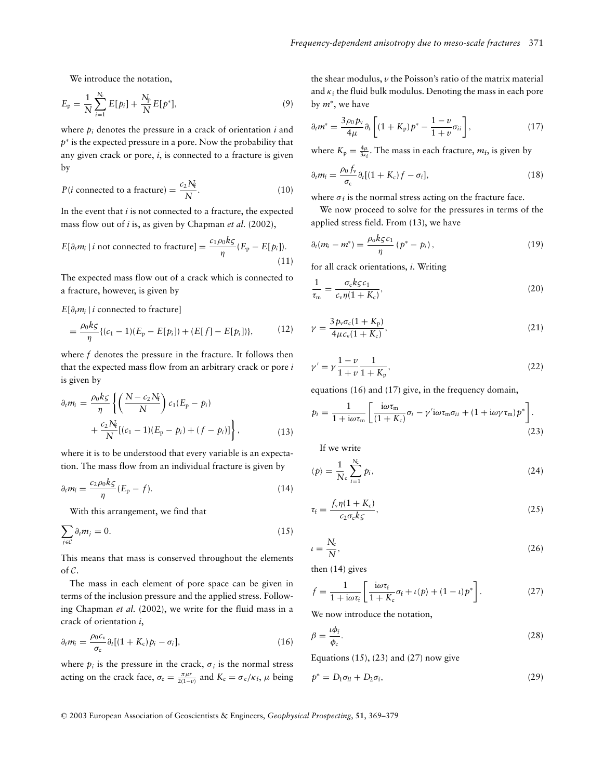We introduce the notation,

$$
E_p = \frac{1}{N} \sum_{i=1}^{N_c} E[p_i] + \frac{N_p}{N} E[p^*],
$$
\n(9)

where *pi* denotes the pressure in a crack of orientation *i* and *p*<sup>∗</sup> is the expected pressure in a pore. Now the probability that any given crack or pore, *i*, is connected to a fracture is given by

$$
P(i \text{ connected to a fracture}) = \frac{c_2 N_f}{N}.
$$
 (10)

In the event that *i* is not connected to a fracture, the expected mass flow out of *i* is, as given by Chapman *et al.* (2002),

$$
E[\partial_t m_i | i \text{ not connected to fracture}] = \frac{c_1 \rho_0 k \zeta}{\eta} (E_p - E[p_i]).
$$
\n(11)

The expected mass flow out of a crack which is connected to a fracture, however, is given by

 $E[\partial_t m_i | i$  connected to fracture]

$$
= \frac{\rho_0 k \zeta}{\eta} \{ (c_1 - 1)(E_p - E[p_i]) + (E[f] - E[p_i]) \},\tag{12}
$$

where *f* denotes the pressure in the fracture. It follows then that the expected mass flow from an arbitrary crack or pore *i* is given by

$$
\partial_t m_i = \frac{\rho_0 k \zeta}{\eta} \left\{ \left( \frac{N - c_2 N_f}{N} \right) c_1 (E_p - p_i) + \frac{c_2 N_f}{N} [(c_1 - 1)(E_p - p_i) + (f - p_i)] \right\},
$$
\n(13)

where it is to be understood that every variable is an expectation. The mass flow from an individual fracture is given by

$$
\partial_t m_f = \frac{c_2 \rho_0 k \zeta}{\eta} (E_p - f). \tag{14}
$$

With this arrangement, we find that

$$
\sum_{j \in \mathcal{C}} \partial_t m_j = 0. \tag{15}
$$

This means that mass is conserved throughout the elements of C.

The mass in each element of pore space can be given in terms of the inclusion pressure and the applied stress. Following Chapman *et al.* (2002), we write for the fluid mass in a crack of orientation *i*,

$$
\partial_t m_i = \frac{\rho_0 c_v}{\sigma_c} \partial_t [(1 + K_c) p_i - \sigma_i], \qquad (16)
$$

where  $p_i$  is the pressure in the crack,  $\sigma_i$  is the normal stress acting on the crack face,  $\sigma_c = \frac{\pi \mu r}{2(1-\nu)}$  and  $K_c = \sigma_c / \kappa_f$ ,  $\mu$  being

the shear modulus, *v* the Poisson's ratio of the matrix material and  $\kappa_f$  the fluid bulk modulus. Denoting the mass in each pore by *m*<sup>∗</sup>, we have

$$
\partial_t m^* = \frac{3\rho_0 p_v}{4\mu} \partial_t \left[ (1 + K_\text{p}) p^* - \frac{1 - \nu}{1 + \nu} \sigma_{ii} \right],\tag{17}
$$

where  $K_p = \frac{4\mu}{3\kappa_f}$ . The mass in each fracture,  $m_f$ , is given by

$$
\partial_t m_{\rm f} = \frac{\rho_0 f_{\rm v}}{\sigma_{\rm c}} \partial_t [(1 + K_{\rm c}) f - \sigma_{\rm f}], \qquad (18)
$$

where  $\sigma_f$  is the normal stress acting on the fracture face.

We now proceed to solve for the pressures in terms of the applied stress field. From (13), we have

$$
\partial_t (m_i - m^*) = \frac{\rho_0 k \zeta c_1}{\eta} (p^* - p_i), \qquad (19)
$$

for all crack orientations, *i*. Writing

$$
\frac{1}{\tau_{\rm m}} = \frac{\sigma_{\rm c} k \varsigma c_1}{c_{\rm v} \eta (1 + K_{\rm c})},\tag{20}
$$

$$
\gamma = \frac{3 p_v \sigma_c (1 + K_p)}{4 \mu c_v (1 + K_c)},
$$
\n(21)

$$
\gamma' = \gamma \frac{1 - \nu}{1 + \nu} \frac{1}{1 + K_{p}},\tag{22}
$$

equations (16) and (17) give, in the frequency domain,

$$
p_i = \frac{1}{1 + i\omega\tau_m} \left[ \frac{i\omega\tau_m}{(1 + K_c)} \sigma_i - \gamma' i\omega\tau_m \sigma_{ii} + (1 + i\omega\gamma\tau_m) p^* \right].
$$
\n(23)

If we write

$$
\langle p \rangle = \frac{1}{N_c} \sum_{i=1}^{N_c} p_i,\tag{24}
$$

$$
\tau_{\rm f} = \frac{f_{\rm v}\eta(1+K_{\rm c})}{c_2\sigma_{\rm c}k\varsigma},\tag{25}
$$

$$
u = \frac{N_c}{N},\tag{26}
$$

then (14) gives

$$
f = \frac{1}{1 + i\omega\tau_{\rm f}} \left[ \frac{i\omega\tau_{\rm f}}{1 + K_{\rm c}} \sigma_{\rm f} + \iota \langle p \rangle + (1 - \iota) p^* \right]. \tag{27}
$$

We now introduce the notation,

$$
\beta = \frac{\iota \phi_f}{\phi_c}.\tag{28}
$$

Equations  $(15)$ ,  $(23)$  and  $(27)$  now give

$$
p^* = D_1 \sigma_{ll} + D_2 \sigma_f, \tag{29}
$$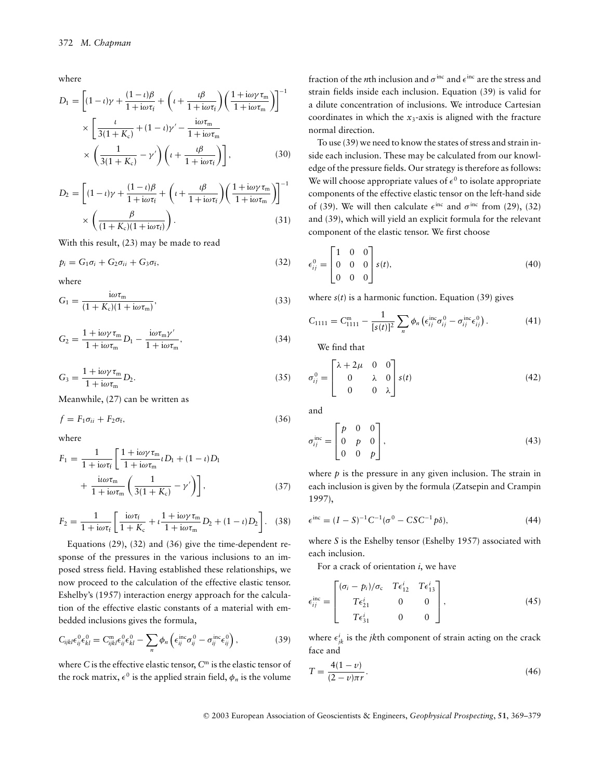where

$$
D_1 = \left[ (1 - \iota)\gamma + \frac{(1 - \iota)\beta}{1 + i\omega\tau_f} + \left( \iota + \frac{\iota\beta}{1 + i\omega\tau_f} \right) \left( \frac{1 + i\omega\gamma\tau_m}{1 + i\omega\tau_m} \right) \right]^{-1}
$$

$$
\times \left[ \frac{\iota}{3(1 + K_c)} + (1 - \iota)\gamma' - \frac{i\omega\tau_m}{1 + i\omega\tau_m} \right]
$$

$$
\times \left( \frac{1}{3(1 + K_c)} - \gamma' \right) \left( \iota + \frac{\iota\beta}{1 + i\omega\tau_f} \right) \right],
$$
(30)

$$
D_2 = \left[ (1 - t)\gamma + \frac{(1 - t)\beta}{1 + i\omega\tau_f} + \left( t + \frac{t\beta}{1 + i\omega\tau_f} \right) \left( \frac{1 + i\omega\gamma\tau_m}{1 + i\omega\tau_m} \right) \right]^{-1} \times \left( \frac{\beta}{(1 + K_c)(1 + i\omega\tau_f)} \right). \tag{31}
$$

With this result, (23) may be made to read

$$
p_i = G_1 \sigma_i + G_2 \sigma_{ii} + G_3 \sigma_f, \qquad (32)
$$

where

$$
G_1 = \frac{i\omega\tau_m}{(1 + K_c)(1 + i\omega\tau_m)},
$$
\n(33)

$$
G_2 = \frac{1 + i\omega\gamma\tau_m}{1 + i\omega\tau_m}D_1 - \frac{i\omega\tau_m\gamma'}{1 + i\omega\tau_m},
$$
\n(34)

$$
G_3 = \frac{1 + i\omega\gamma\tau_m}{1 + i\omega\tau_m} D_2.
$$
\n(35)

Meanwhile, (27) can be written as

$$
f = F_1 \sigma_{ii} + F_2 \sigma_f, \tag{36}
$$

where

$$
F_1 = \frac{1}{1 + i\omega\tau_f} \left[ \frac{1 + i\omega\gamma\tau_m}{1 + i\omega\tau_m} \iota D_1 + (1 - \iota)D_1 \right. +\frac{i\iota\omega\tau_m}{1 + i\omega\tau_m} \left( \frac{1}{3(1 + K_c)} - \gamma' \right) \right],
$$
(37)

$$
F_2 = \frac{1}{1 + i\omega\tau_f} \left[ \frac{i\omega\tau_f}{1 + K_c} + \iota \frac{1 + i\omega\gamma\tau_m}{1 + i\omega\tau_m} D_2 + (1 - \iota) D_2 \right]. \tag{38}
$$

Equations (29), (32) and (36) give the time-dependent response of the pressures in the various inclusions to an imposed stress field. Having established these relationships, we now proceed to the calculation of the effective elastic tensor. Eshelby's (1957) interaction energy approach for the calculation of the effective elastic constants of a material with embedded inclusions gives the formula,

$$
C_{ijkl}\epsilon_{ij}^{0}\epsilon_{kl}^{0} = C_{ijkl}^{\text{m}}\epsilon_{ij}^{0}\epsilon_{kl}^{0} - \sum_{n} \phi_{n} \left(\epsilon_{ij}^{\text{inc}}\sigma_{ij}^{0} - \sigma_{ij}^{\text{inc}}\epsilon_{ij}^{0}\right), \qquad (39)
$$

where *C* is the effective elastic tensor, *C*<sup>m</sup> is the elastic tensor of the rock matrix,  $\epsilon^0$  is the applied strain field,  $\phi_n$  is the volume

fraction of the *n*th inclusion and  $\sigma^{\text{inc}}$  and  $\epsilon^{\text{inc}}$  are the stress and strain fields inside each inclusion. Equation (39) is valid for a dilute concentration of inclusions. We introduce Cartesian coordinates in which the  $x_3$ -axis is aligned with the fracture normal direction.

To use (39) we need to know the states of stress and strain inside each inclusion. These may be calculated from our knowledge of the pressure fields. Our strategy is therefore as follows: We will choose appropriate values of  $\epsilon^0$  to isolate appropriate components of the effective elastic tensor on the left-hand side of (39). We will then calculate  $\epsilon^{\text{inc}}$  and  $\sigma^{\text{inc}}$  from (29), (32) and (39), which will yield an explicit formula for the relevant component of the elastic tensor. We first choose

$$
\epsilon_{ij}^0 = \begin{bmatrix} 1 & 0 & 0 \\ 0 & 0 & 0 \\ 0 & 0 & 0 \end{bmatrix} s(t), \tag{40}
$$

where  $s(t)$  is a harmonic function. Equation (39) gives

$$
C_{1111} = C_{1111}^{\text{m}} - \frac{1}{[s(t)]^2} \sum_{n} \phi_n \left( \epsilon_{ij}^{\text{inc}} \sigma_{ij}^0 - \sigma_{ij}^{\text{inc}} \epsilon_{ij}^0 \right). \tag{41}
$$

We find that

$$
\sigma_{ij}^0 = \begin{bmatrix} \lambda + 2\mu & 0 & 0 \\ 0 & \lambda & 0 \\ 0 & 0 & \lambda \end{bmatrix} s(t) \tag{42}
$$

and

$$
\sigma_{ij}^{\text{inc}} = \begin{bmatrix} p & 0 & 0 \\ 0 & p & 0 \\ 0 & 0 & p \end{bmatrix}, \tag{43}
$$

where *p* is the pressure in any given inclusion. The strain in each inclusion is given by the formula (Zatsepin and Crampin 1997),

$$
\epsilon^{\rm inc} = (I - S)^{-1} C^{-1} (\sigma^0 - CSC^{-1} p\delta), \tag{44}
$$

where *S* is the Eshelby tensor (Eshelby 1957) associated with each inclusion.

For a crack of orientation *i*, we have

$$
\epsilon_{ij}^{\text{inc}} = \begin{bmatrix} (\sigma_i - p_i)/\sigma_c & T\epsilon_{12}^i & T\epsilon_{13}^i \\ T\epsilon_{21}^i & 0 & 0 \\ T\epsilon_{31}^i & 0 & 0 \end{bmatrix},
$$
(45)

where  $\epsilon_{jk}^i$  is the *jk*th component of strain acting on the crack face and

$$
T = \frac{4(1 - v)}{(2 - v)\pi r}.
$$
\n(46)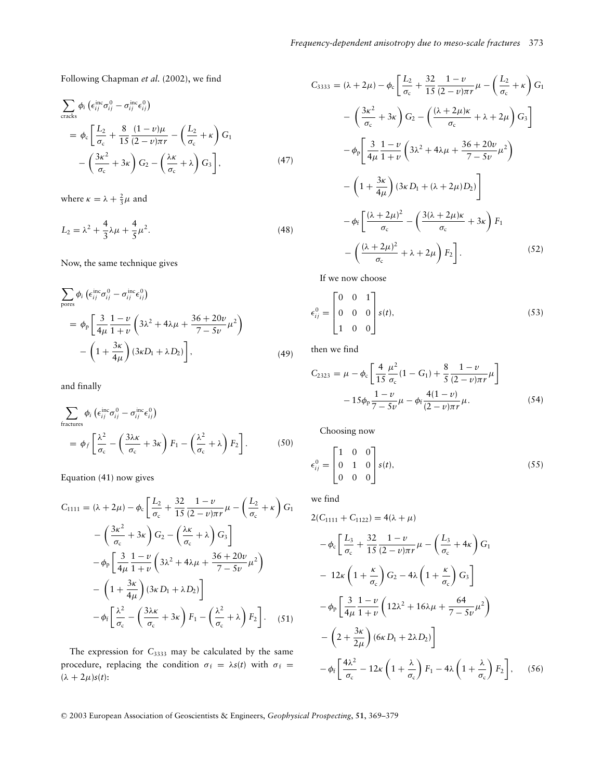Following Chapman *et al.* (2002), we find

$$
\sum_{\text{cracks}} \phi_i \left( \epsilon_{ij}^{\text{inc}} \sigma_{ij}^0 - \sigma_{ij}^{\text{inc}} \epsilon_{ij}^0 \right)
$$
  
=  $\phi_c \left[ \frac{L_2}{\sigma_c} + \frac{8}{15} \frac{(1 - v)\mu}{(2 - v)\pi r} - \left( \frac{L_2}{\sigma_c} + \kappa \right) G_1 \right]$   
-  $\left( \frac{3\kappa^2}{\sigma_c} + 3\kappa \right) G_2 - \left( \frac{\lambda \kappa}{\sigma_c} + \lambda \right) G_3 \right],$  (47)

where  $\kappa = \lambda + \frac{2}{3}\mu$  and

$$
L_2 = \lambda^2 + \frac{4}{3}\lambda\mu + \frac{4}{5}\mu^2.
$$
 (48)

Now, the same technique gives

$$
\sum_{\text{pores}} \phi_i \left( \epsilon_{ij}^{\text{inc}} \sigma_{ij}^0 - \sigma_{ij}^{\text{inc}} \epsilon_{ij}^0 \right)
$$
\n
$$
= \phi_{\text{p}} \left[ \frac{3}{4\mu} \frac{1 - \nu}{1 + \nu} \left( 3\lambda^2 + 4\lambda\mu + \frac{36 + 20\nu}{7 - 5\nu} \mu^2 \right) - \left( 1 + \frac{3\kappa}{4\mu} \right) \left( 3\kappa D_1 + \lambda D_2 \right) \right],\tag{49}
$$

and finally

$$
\sum_{\text{fractures}} \phi_i \left( \epsilon_{ij}^{\text{inc}} \sigma_{ij}^0 - \sigma_{ij}^{\text{inc}} \epsilon_{ij}^0 \right)
$$
\n
$$
= \phi_f \left[ \frac{\lambda^2}{\sigma_c} - \left( \frac{3\lambda \kappa}{\sigma_c} + 3\kappa \right) F_1 - \left( \frac{\lambda^2}{\sigma_c} + \lambda \right) F_2 \right]. \tag{50}
$$

Equation (41) now gives

$$
C_{1111} = (\lambda + 2\mu) - \phi_c \left[ \frac{L_2}{\sigma_c} + \frac{32}{15} \frac{1 - \nu}{(2 - \nu)\pi r} \mu - \left( \frac{L_2}{\sigma_c} + \kappa \right) G_1 \right]
$$

$$
- \left( \frac{3\kappa^2}{\sigma_c} + 3\kappa \right) G_2 - \left( \frac{\lambda\kappa}{\sigma_c} + \lambda \right) G_3 \right]
$$

$$
- \phi_p \left[ \frac{3}{4\mu} \frac{1 - \nu}{1 + \nu} \left( 3\lambda^2 + 4\lambda\mu + \frac{36 + 20\nu}{7 - 5\nu} \mu^2 \right) \right]
$$

$$
- \left( 1 + \frac{3\kappa}{4\mu} \right) (3\kappa D_1 + \lambda D_2) \right]
$$

$$
- \phi_f \left[ \frac{\lambda^2}{\sigma_c} - \left( \frac{3\lambda\kappa}{\sigma_c} + 3\kappa \right) F_1 - \left( \frac{\lambda^2}{\sigma_c} + \lambda \right) F_2 \right]. \quad (51)
$$

The expression for C<sub>3333</sub> may be calculated by the same procedure, replacing the condition  $\sigma_f = \lambda s(t)$  with  $\sigma_f =$  $(\lambda + 2\mu)s(t)$ :

$$
C_{3333} = (\lambda + 2\mu) - \phi_c \left[ \frac{L_2}{\sigma_c} + \frac{32}{15} \frac{1 - \nu}{(2 - \nu)\pi r} \mu - \left( \frac{L_2}{\sigma_c} + \kappa \right) G_1 \right]
$$

$$
- \left( \frac{3\kappa^2}{\sigma_c} + 3\kappa \right) G_2 - \left( \frac{(\lambda + 2\mu)\kappa}{\sigma_c} + \lambda + 2\mu \right) G_3 \right]
$$

$$
- \phi_p \left[ \frac{3}{4\mu} \frac{1 - \nu}{1 + \nu} \left( 3\lambda^2 + 4\lambda\mu + \frac{36 + 20\nu}{7 - 5\nu} \mu^2 \right) \right]
$$

$$
- \left( 1 + \frac{3\kappa}{4\mu} \right) (3\kappa D_1 + (\lambda + 2\mu) D_2) \right]
$$

$$
- \phi_f \left[ \frac{(\lambda + 2\mu)^2}{\sigma_c} - \left( \frac{3(\lambda + 2\mu)\kappa}{\sigma_c} + 3\kappa \right) F_1 \right]
$$

$$
- \left( \frac{(\lambda + 2\mu)^2}{\sigma_c} + \lambda + 2\mu \right) F_2 \right]. \tag{52}
$$

If we now choose

$$
\epsilon_{ij}^0 = \begin{bmatrix} 0 & 0 & 1 \\ 0 & 0 & 0 \\ 1 & 0 & 0 \end{bmatrix} s(t), \tag{53}
$$

then we find

$$
C_{2323} = \mu - \phi_c \left[ \frac{4}{15} \frac{\mu^2}{\sigma_c} (1 - G_1) + \frac{8}{5} \frac{1 - \nu}{(2 - \nu)\pi r} \mu \right] - 15\phi_p \frac{1 - \nu}{7 - 5\nu} \mu - \phi_f \frac{4(1 - \nu)}{(2 - \nu)\pi r} \mu.
$$
 (54)

Choosing now

$$
\epsilon_{ij}^0 = \begin{bmatrix} 1 & 0 & 0 \\ 0 & 1 & 0 \\ 0 & 0 & 0 \end{bmatrix} s(t), \tag{55}
$$

we find

$$
2(C_{1111} + C_{1122}) = 4(\lambda + \mu)
$$
  
\n
$$
-\phi_c \left[ \frac{L_3}{\sigma_c} + \frac{32}{15} \frac{1 - \nu}{(2 - \nu)\pi r} \mu - \left( \frac{L_3}{\sigma_c} + 4\kappa \right) G_1 \right]
$$
  
\n
$$
- 12\kappa \left( 1 + \frac{\kappa}{\sigma_c} \right) G_2 - 4\lambda \left( 1 + \frac{\kappa}{\sigma_c} \right) G_3 \right]
$$
  
\n
$$
-\phi_p \left[ \frac{3}{4\mu} \frac{1 - \nu}{1 + \nu} \left( 12\lambda^2 + 16\lambda\mu + \frac{64}{7 - 5\nu} \mu^2 \right) - \left( 2 + \frac{3\kappa}{2\mu} \right) (6\kappa D_1 + 2\lambda D_2) \right]
$$
  
\n
$$
-\phi_f \left[ \frac{4\lambda^2}{\sigma_c} - 12\kappa \left( 1 + \frac{\lambda}{\sigma_c} \right) F_1 - 4\lambda \left( 1 + \frac{\lambda}{\sigma_c} \right) F_2 \right], \quad (56)
$$

<sup>C</sup> 2003 European Association of Geoscientists & Engineers, *Geophysical Prospecting*, **51**, 369–379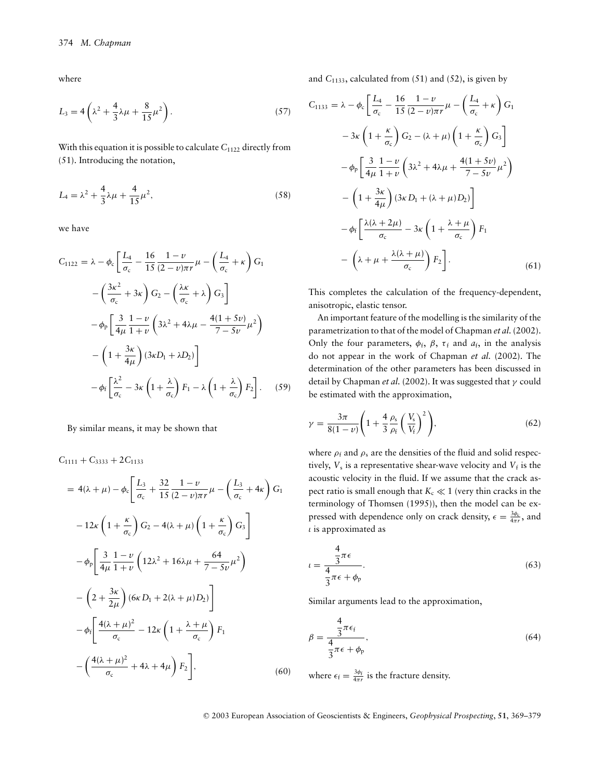where

$$
L_3 = 4\left(\lambda^2 + \frac{4}{3}\lambda\mu + \frac{8}{15}\mu^2\right).
$$
 (57)

With this equation it is possible to calculate  $C_{1122}$  directly from (51). Introducing the notation,

$$
L_4 = \lambda^2 + \frac{4}{3}\lambda\mu + \frac{4}{15}\mu^2,\tag{58}
$$

we have

$$
C_{1122} = \lambda - \phi_c \left[ \frac{L_4}{\sigma_c} - \frac{16}{15} \frac{1 - \nu}{(2 - \nu)\pi r} \mu - \left( \frac{L_4}{\sigma_c} + \kappa \right) G_1 \right]
$$

$$
- \left( \frac{3\kappa^2}{\sigma_c} + 3\kappa \right) G_2 - \left( \frac{\lambda\kappa}{\sigma_c} + \lambda \right) G_3 \right]
$$

$$
- \phi_p \left[ \frac{3}{4\mu} \frac{1 - \nu}{1 + \nu} \left( 3\lambda^2 + 4\lambda\mu - \frac{4(1 + 5\nu)}{7 - 5\nu} \mu^2 \right) \right]
$$

$$
- \left( 1 + \frac{3\kappa}{4\mu} \right) (3\kappa D_1 + \lambda D_2) \right]
$$

$$
- \phi_f \left[ \frac{\lambda^2}{\sigma_c} - 3\kappa \left( 1 + \frac{\lambda}{\sigma_c} \right) F_1 - \lambda \left( 1 + \frac{\lambda}{\sigma_c} \right) F_2 \right]. \tag{59}
$$

By similar means, it may be shown that

 $C_{1111} + C_{3333} + 2C_{1133}$ 

$$
= 4(\lambda + \mu) - \phi_c \left[ \frac{L_3}{\sigma_c} + \frac{32}{15} \frac{1 - \nu}{(2 - \nu)\pi r} \mu - \left( \frac{L_3}{\sigma_c} + 4\kappa \right) G_1 \right]
$$

$$
-12\kappa \left( 1 + \frac{\kappa}{\sigma_c} \right) G_2 - 4(\lambda + \mu) \left( 1 + \frac{\kappa}{\sigma_c} \right) G_3 \right]
$$

$$
- \phi_p \left[ \frac{3}{4\mu} \frac{1 - \nu}{1 + \nu} \left( 12\lambda^2 + 16\lambda\mu + \frac{64}{7 - 5\nu} \mu^2 \right) \right]
$$

$$
- \left( 2 + \frac{3\kappa}{2\mu} \right) (6\kappa D_1 + 2(\lambda + \mu) D_2) \right]
$$

$$
- \phi_f \left[ \frac{4(\lambda + \mu)^2}{\sigma_c} - 12\kappa \left( 1 + \frac{\lambda + \mu}{\sigma_c} \right) F_1 \right]
$$

$$
- \left( \frac{4(\lambda + \mu)^2}{\sigma_c} + 4\lambda + 4\mu \right) F_2 \right], \tag{60}
$$

and  $C_{1133}$ , calculated from (51) and (52), is given by

$$
C_{1133} = \lambda - \phi_c \left[ \frac{L_4}{\sigma_c} - \frac{16}{15} \frac{1 - \nu}{(2 - \nu)\pi r} \mu - \left( \frac{L_4}{\sigma_c} + \kappa \right) G_1 \right]
$$

$$
- 3\kappa \left( 1 + \frac{\kappa}{\sigma_c} \right) G_2 - (\lambda + \mu) \left( 1 + \frac{\kappa}{\sigma_c} \right) G_3 \right]
$$

$$
- \phi_p \left[ \frac{3}{4\mu} \frac{1 - \nu}{1 + \nu} \left( 3\lambda^2 + 4\lambda\mu + \frac{4(1 + 5\nu)}{7 - 5\nu} \mu^2 \right) \right]
$$

$$
- \left( 1 + \frac{3\kappa}{4\mu} \right) (3\kappa D_1 + (\lambda + \mu) D_2) \right]
$$

$$
- \phi_f \left[ \frac{\lambda(\lambda + 2\mu)}{\sigma_c} - 3\kappa \left( 1 + \frac{\lambda + \mu}{\sigma_c} \right) F_1 \right]
$$

$$
- \left( \lambda + \mu + \frac{\lambda(\lambda + \mu)}{\sigma_c} \right) F_2 \right]. \tag{61}
$$

This completes the calculation of the frequency-dependent, anisotropic, elastic tensor.

An important feature of the modelling is the similarity of the parametrization to that of the model of Chapman *et al.* (2002). Only the four parameters,  $\phi_f$ ,  $\beta$ ,  $\tau_f$  and  $a_f$ , in the analysis do not appear in the work of Chapman *et al.* (2002). The determination of the other parameters has been discussed in detail by Chapman *et al.* (2002). It was suggested that  $\gamma$  could be estimated with the approximation,

$$
\gamma = \frac{3\pi}{8(1-\nu)} \left( 1 + \frac{4}{3} \frac{\rho_s}{\rho_f} \left( \frac{V_s}{V_f} \right)^2 \right),\tag{62}
$$

where  $\rho_f$  and  $\rho_s$  are the densities of the fluid and solid respectively,  $V_s$  is a representative shear-wave velocity and  $V_f$  is the acoustic velocity in the fluid. If we assume that the crack aspect ratio is small enough that  $K_c \ll 1$  (very thin cracks in the terminology of Thomsen (1995)), then the model can be expressed with dependence only on crack density,  $\epsilon = \frac{3\phi_c}{4\pi r}$ , and  $\iota$  is approximated as

$$
=\frac{\frac{4}{3}\pi\epsilon}{\frac{4}{3}\pi\epsilon+\phi_{p}}.\tag{63}
$$

Similar arguments lead to the approximation,

$$
\beta = \frac{\frac{4}{3}\pi\epsilon_{\text{f}}}{\frac{4}{3}\pi\epsilon + \phi_{\text{p}}},\tag{64}
$$

where  $\epsilon_f = \frac{3\phi_f}{4\pi r}$  is the fracture density.

 $\iota$ 

<sup>C</sup> 2003 European Association of Geoscientists & Engineers, *Geophysical Prospecting*, **51**, 369–379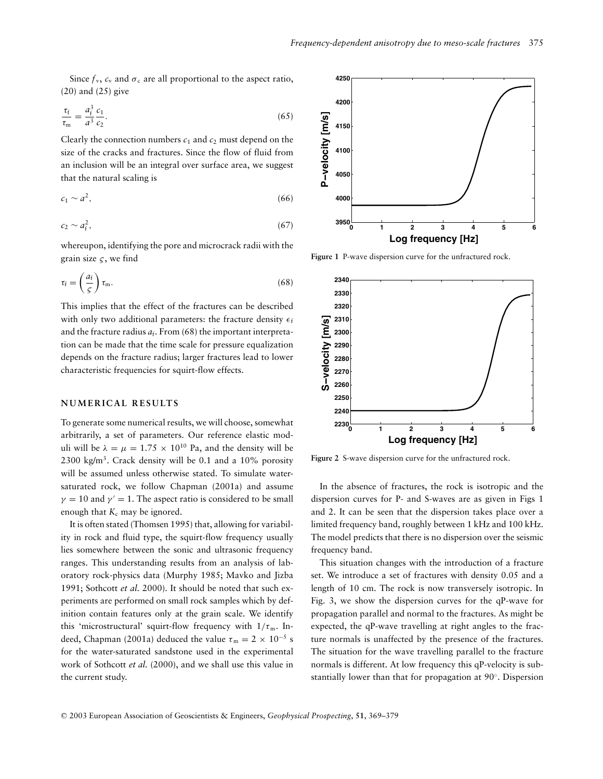Since  $f_v$ ,  $c_v$  and  $\sigma_c$  are all proportional to the aspect ratio, (20) and (25) give

$$
\frac{\tau_{\rm f}}{\tau_{\rm m}} = \frac{a_{\rm f}^3}{a^3} \frac{c_1}{c_2}.
$$
\n(65)

Clearly the connection numbers  $c_1$  and  $c_2$  must depend on the size of the cracks and fractures. Since the flow of fluid from an inclusion will be an integral over surface area, we suggest that the natural scaling is

$$
c_1 \sim a^2,\tag{66}
$$

$$
c_2 \sim a_{\rm f}^2,\tag{67}
$$

whereupon, identifying the pore and microcrack radii with the grain size  $\varsigma$ , we find

$$
\tau_{\rm f} = \left(\frac{a_{\rm f}}{\varsigma}\right) \tau_{\rm m}.\tag{68}
$$

This implies that the effect of the fractures can be described with only two additional parameters: the fracture density  $\epsilon_f$ and the fracture radius  $a_f$ . From (68) the important interpretation can be made that the time scale for pressure equalization depends on the fracture radius; larger fractures lead to lower characteristic frequencies for squirt-flow effects.

#### **NUMERICAL RESULTS**

To generate some numerical results, we will choose, somewhat arbitrarily, a set of parameters. Our reference elastic moduli will be  $\lambda = \mu = 1.75 \times 10^{10}$  Pa, and the density will be 2300 kg/m<sup>3</sup>. Crack density will be 0.1 and a  $10\%$  porosity will be assumed unless otherwise stated. To simulate watersaturated rock, we follow Chapman (2001a) and assume  $\gamma = 10$  and  $\gamma' = 1$ . The aspect ratio is considered to be small enough that  $K_c$  may be ignored.

It is often stated (Thomsen 1995) that, allowing for variability in rock and fluid type, the squirt-flow frequency usually lies somewhere between the sonic and ultrasonic frequency ranges. This understanding results from an analysis of laboratory rock-physics data (Murphy 1985; Mavko and Jizba 1991; Sothcott *et al.* 2000). It should be noted that such experiments are performed on small rock samples which by definition contain features only at the grain scale. We identify this 'microstructural' squirt-flow frequency with  $1/\tau_m$ . Indeed, Chapman (2001a) deduced the value  $\tau_m = 2 \times 10^{-5}$  s for the water-saturated sandstone used in the experimental work of Sothcott *et al.* (2000), and we shall use this value in the current study.



**Figure 1** P-wave dispersion curve for the unfractured rock.



**Figure 2** S-wave dispersion curve for the unfractured rock.

In the absence of fractures, the rock is isotropic and the dispersion curves for P- and S-waves are as given in Figs 1 and 2. It can be seen that the dispersion takes place over a limited frequency band, roughly between 1 kHz and 100 kHz. The model predicts that there is no dispersion over the seismic frequency band.

This situation changes with the introduction of a fracture set. We introduce a set of fractures with density 0.05 and a length of 10 cm. The rock is now transversely isotropic. In Fig. 3, we show the dispersion curves for the qP-wave for propagation parallel and normal to the fractures. As might be expected, the qP-wave travelling at right angles to the fracture normals is unaffected by the presence of the fractures. The situation for the wave travelling parallel to the fracture normals is different. At low frequency this qP-velocity is substantially lower than that for propagation at 90◦. Dispersion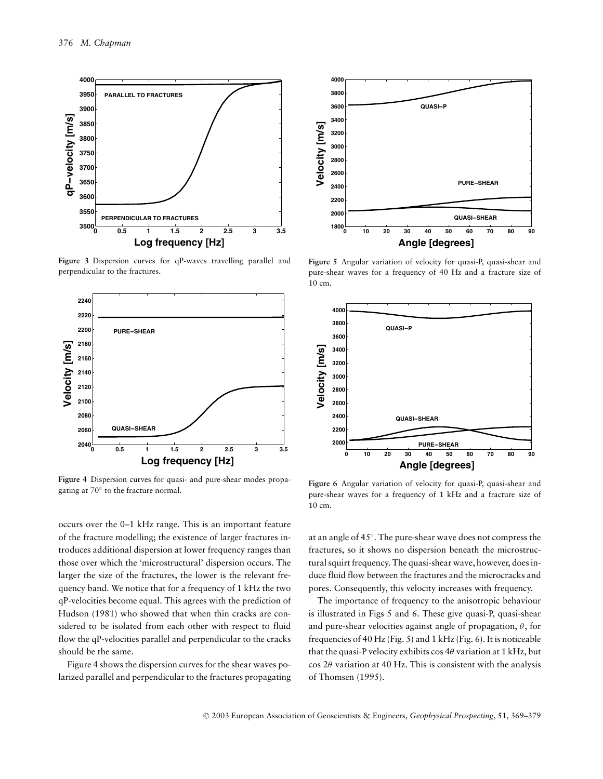

**Figure 3** Dispersion curves for qP-waves travelling parallel and perpendicular to the fractures.



**Figure 4** Dispersion curves for quasi- and pure-shear modes propagating at 70◦ to the fracture normal.

occurs over the 0–1 kHz range. This is an important feature of the fracture modelling; the existence of larger fractures introduces additional dispersion at lower frequency ranges than those over which the 'microstructural' dispersion occurs. The larger the size of the fractures, the lower is the relevant frequency band. We notice that for a frequency of 1 kHz the two qP-velocities become equal. This agrees with the prediction of Hudson (1981) who showed that when thin cracks are considered to be isolated from each other with respect to fluid flow the qP-velocities parallel and perpendicular to the cracks should be the same.

Figure 4 shows the dispersion curves for the shear waves polarized parallel and perpendicular to the fractures propagating



**Figure 5** Angular variation of velocity for quasi-P, quasi-shear and pure-shear waves for a frequency of 40 Hz and a fracture size of 10 cm.



Figure 6 Angular variation of velocity for quasi-P, quasi-shear and pure-shear waves for a frequency of 1 kHz and a fracture size of 10 cm.

at an angle of 45◦. The pure-shear wave does not compress the fractures, so it shows no dispersion beneath the microstructural squirt frequency. The quasi-shear wave, however, does induce fluid flow between the fractures and the microcracks and pores. Consequently, this velocity increases with frequency.

The importance of frequency to the anisotropic behaviour is illustrated in Figs 5 and 6. These give quasi-P, quasi-shear and pure-shear velocities against angle of propagation,  $\theta$ , for frequencies of 40 Hz (Fig. 5) and 1 kHz (Fig. 6). It is noticeable that the quasi-P velocity exhibits cos  $4\theta$  variation at 1 kHz, but  $\cos 2\theta$  variation at 40 Hz. This is consistent with the analysis of Thomsen (1995).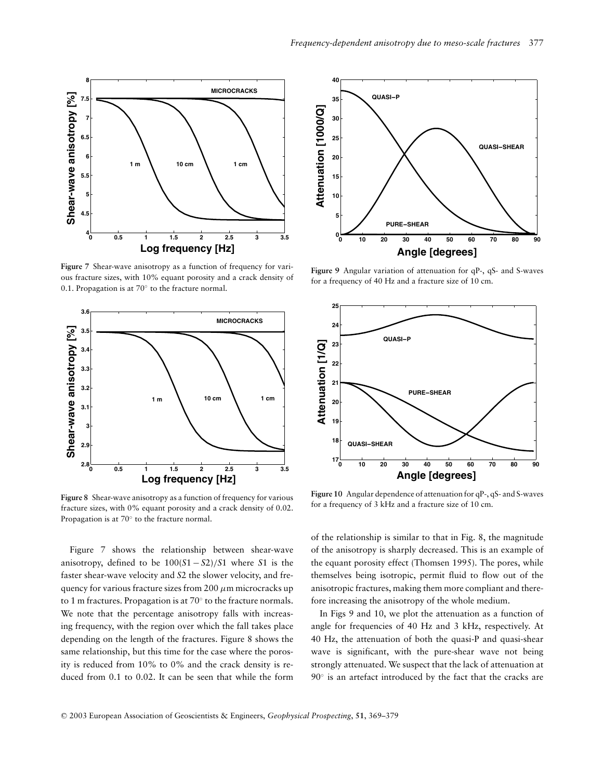

**Figure 7** Shear-wave anisotropy as a function of frequency for various fracture sizes, with 10% equant porosity and a crack density of 0.1. Propagation is at 70◦ to the fracture normal.



**Figure 8** Shear-wave anisotropy as a function of frequency for various fracture sizes, with 0% equant porosity and a crack density of 0.02. Propagation is at 70◦ to the fracture normal.

Figure 7 shows the relationship between shear-wave anisotropy, defined to be 100(*S*1 − *S*2)/*S*1 where *S*1 is the faster shear-wave velocity and *S*2 the slower velocity, and frequency for various fracture sizes from  $200 \mu m$  microcracks up to 1 m fractures. Propagation is at 70◦ to the fracture normals. We note that the percentage anisotropy falls with increasing frequency, with the region over which the fall takes place depending on the length of the fractures. Figure 8 shows the same relationship, but this time for the case where the porosity is reduced from 10% to 0% and the crack density is reduced from 0.1 to 0.02. It can be seen that while the form



**Figure 9** Angular variation of attenuation for qP-, qS- and S-waves for a frequency of 40 Hz and a fracture size of 10 cm.



**Figure 10** Angular dependence of attenuation for qP-, qS- and S-waves for a frequency of 3 kHz and a fracture size of 10 cm.

of the relationship is similar to that in Fig. 8, the magnitude of the anisotropy is sharply decreased. This is an example of the equant porosity effect (Thomsen 1995). The pores, while themselves being isotropic, permit fluid to flow out of the anisotropic fractures, making them more compliant and therefore increasing the anisotropy of the whole medium.

In Figs 9 and 10, we plot the attenuation as a function of angle for frequencies of 40 Hz and 3 kHz, respectively. At 40 Hz, the attenuation of both the quasi-P and quasi-shear wave is significant, with the pure-shear wave not being strongly attenuated. We suspect that the lack of attenuation at 90° is an artefact introduced by the fact that the cracks are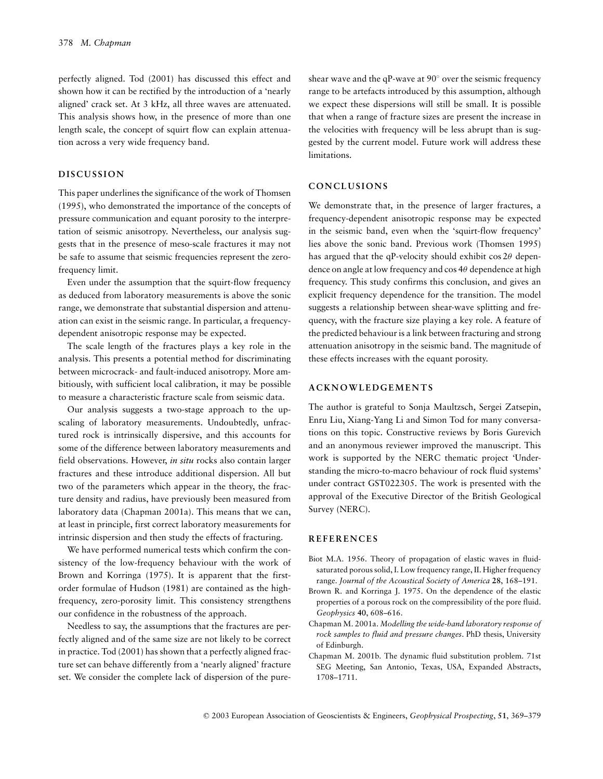perfectly aligned. Tod (2001) has discussed this effect and shown how it can be rectified by the introduction of a 'nearly aligned' crack set. At 3 kHz, all three waves are attenuated. This analysis shows how, in the presence of more than one length scale, the concept of squirt flow can explain attenuation across a very wide frequency band.

#### **DISCUSSION**

This paper underlines the significance of the work of Thomsen (1995), who demonstrated the importance of the concepts of pressure communication and equant porosity to the interpretation of seismic anisotropy. Nevertheless, our analysis suggests that in the presence of meso-scale fractures it may not be safe to assume that seismic frequencies represent the zerofrequency limit.

Even under the assumption that the squirt-flow frequency as deduced from laboratory measurements is above the sonic range, we demonstrate that substantial dispersion and attenuation can exist in the seismic range. In particular, a frequencydependent anisotropic response may be expected.

The scale length of the fractures plays a key role in the analysis. This presents a potential method for discriminating between microcrack- and fault-induced anisotropy. More ambitiously, with sufficient local calibration, it may be possible to measure a characteristic fracture scale from seismic data.

Our analysis suggests a two-stage approach to the upscaling of laboratory measurements. Undoubtedly, unfractured rock is intrinsically dispersive, and this accounts for some of the difference between laboratory measurements and field observations. However, *in situ* rocks also contain larger fractures and these introduce additional dispersion. All but two of the parameters which appear in the theory, the fracture density and radius, have previously been measured from laboratory data (Chapman 2001a). This means that we can, at least in principle, first correct laboratory measurements for intrinsic dispersion and then study the effects of fracturing.

We have performed numerical tests which confirm the consistency of the low-frequency behaviour with the work of Brown and Korringa (1975). It is apparent that the firstorder formulae of Hudson (1981) are contained as the highfrequency, zero-porosity limit. This consistency strengthens our confidence in the robustness of the approach.

Needless to say, the assumptions that the fractures are perfectly aligned and of the same size are not likely to be correct in practice. Tod (2001) has shown that a perfectly aligned fracture set can behave differently from a 'nearly aligned' fracture set. We consider the complete lack of dispersion of the pure-

shear wave and the qP-wave at 90◦ over the seismic frequency range to be artefacts introduced by this assumption, although we expect these dispersions will still be small. It is possible that when a range of fracture sizes are present the increase in the velocities with frequency will be less abrupt than is suggested by the current model. Future work will address these limitations.

#### **CONCLUSIONS**

We demonstrate that, in the presence of larger fractures, a frequency-dependent anisotropic response may be expected in the seismic band, even when the 'squirt-flow frequency' lies above the sonic band. Previous work (Thomsen 1995) has argued that the qP-velocity should exhibit  $\cos 2\theta$  dependence on angle at low frequency and cos  $4\theta$  dependence at high frequency. This study confirms this conclusion, and gives an explicit frequency dependence for the transition. The model suggests a relationship between shear-wave splitting and frequency, with the fracture size playing a key role. A feature of the predicted behaviour is a link between fracturing and strong attenuation anisotropy in the seismic band. The magnitude of these effects increases with the equant porosity.

#### **ACKNOWLEDGEMENTS**

The author is grateful to Sonja Maultzsch, Sergei Zatsepin, Enru Liu, Xiang-Yang Li and Simon Tod for many conversations on this topic. Constructive reviews by Boris Gurevich and an anonymous reviewer improved the manuscript. This work is supported by the NERC thematic project 'Understanding the micro-to-macro behaviour of rock fluid systems' under contract GST022305. The work is presented with the approval of the Executive Director of the British Geological Survey (NERC).

#### **REFERENCES**

- Biot M.A. 1956. Theory of propagation of elastic waves in fluidsaturated porous solid, I. Low frequency range, II. Higher frequency range. *Journal of the Acoustical Society of America* **28**, 168–191.
- Brown R. and Korringa J. 1975. On the dependence of the elastic properties of a porous rock on the compressibility of the pore fluid. *Geophysics* **40**, 608–616.
- Chapman M. 2001a. *Modelling the wide-band laboratory response of rock samples to fluid and pressure changes*. PhD thesis, University of Edinburgh.
- Chapman M. 2001b. The dynamic fluid substitution problem. 71st SEG Meeting, San Antonio, Texas, USA, Expanded Abstracts, 1708–1711.